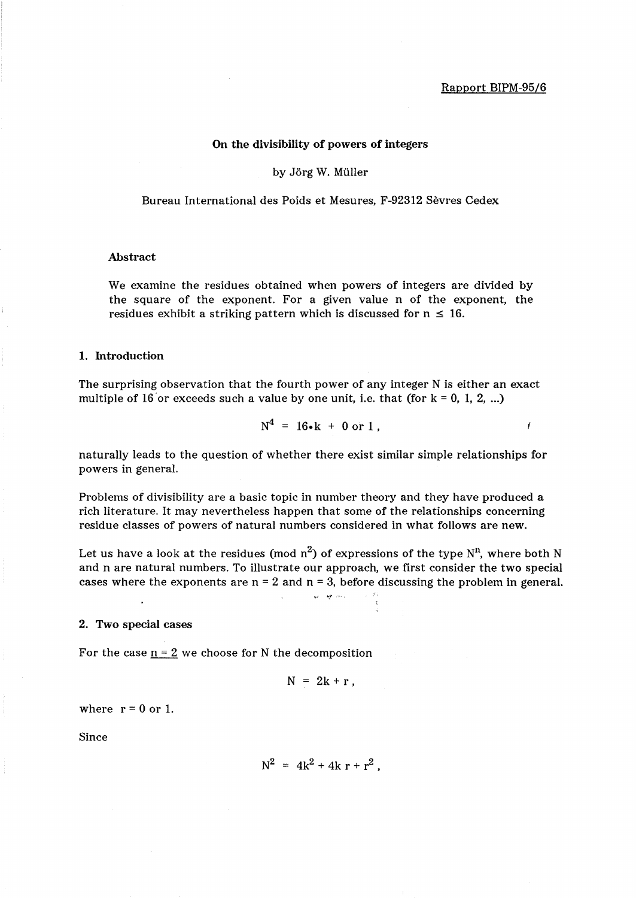# **On** the divisibility of powers of integers

by Jörg W. Müller

Bureau International des Poids et Mesures, F-92312 Sevres Cedex

#### Abstract

We examine the residues obtained when powers of integers are divided by the square of the exponent. For a given value n of the exponent, the residues exhibit a striking pattern which is discussed for  $n \leq 16$ .

### 1. Introduction

The surprising observation that the fourth power of any integer N is either an exact multiple of 16 or exceeds such a value by one unit, i.e. that (for  $k = 0, 1, 2, ...$ )

$$
N^4 = 16 \cdot k + 0 \text{ or } 1,
$$

naturally leads to the question of whether there exist similar simple relationships for powers in general.

Problems of divisibility are a basic topic in number theory and they have produced a rich literature. It may nevertheless happen that some of the relationships concerning residue classes of powers of natural numbers considered in what follows are new.

Let us have a look at the residues (mod  $n^2$ ) of expressions of the type N<sup>n</sup>, where both N and n are natural numbers. To illustrate our approach, we first consider the two special cases where the exponents are  $n = 2$  and  $n = 3$ , before discussing the problem in general.

*>yj* ~''''

#### 2. Two special cases

For the case  $n = 2$  we choose for N the decomposition

$$
N = 2k + r,
$$

where  $r = 0$  or 1.

Since

$$
N^2 = 4k^2 + 4k r + r^2
$$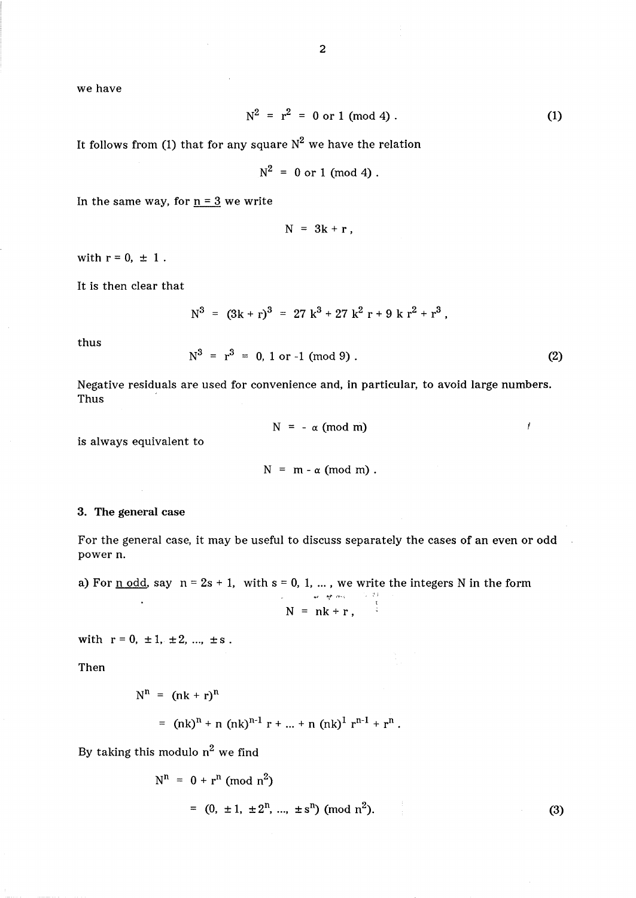we have

$$
N^2 = r^2 = 0 \text{ or } 1 \text{ (mod 4)}.
$$
 (1)

It follows from (1) that for any square  $N^2$  we have the relation

 $N^2 = 0$  or 1 (mod 4).

In the same way, for  $n = 3$  we write

 $N = 3k + r$ ,

with  $r = 0, \pm 1$ .

It is then clear that

$$
N^3 = (3k+r)^3 = 27k^3 + 27k^2r + 9kr^2 + r^3,
$$

thus

$$
N^3 = r^3 = 0, 1 \text{ or } -1 \pmod{9} \, . \tag{2}
$$

Negative residuals are used for convenience and, in particular, to avoid large numbers. Thus

$$
N = -\alpha \pmod{m}
$$

 $\mathfrak{r}$ 

is always equivalent to

 $\bar{z}$ 

 $N = m - \alpha \pmod{m}$ .

# 3. The general case

For the general case, it may be useful to discuss separately the cases of an even or odd power n.

a) For <u>n odd</u>, say  $n = 2s + 1$ , with  $s = 0, 1, ...$ , we write the integers N in the form

$$
N = nk + r,
$$

with  $r = 0, \pm 1, \pm 2, ..., \pm s$ .

 $\ddot{\phantom{0}}$ 

Then

$$
N^{n} = (nk + r)^{n}
$$
  
=  $(nk)^{n} + n (nk)^{n-1} r + ... + n (nk)^{1} r^{n-1} + r^{n}$ .

By taking this modulo  $n^2$  we find

$$
N^{n} = 0 + r^{n} \pmod{n^{2}}
$$
  
= (0, ±1, ±2<sup>n</sup>, ..., ±s<sup>n</sup>) (mod n<sup>2</sup>).

(3)

 $\mathbf{r}$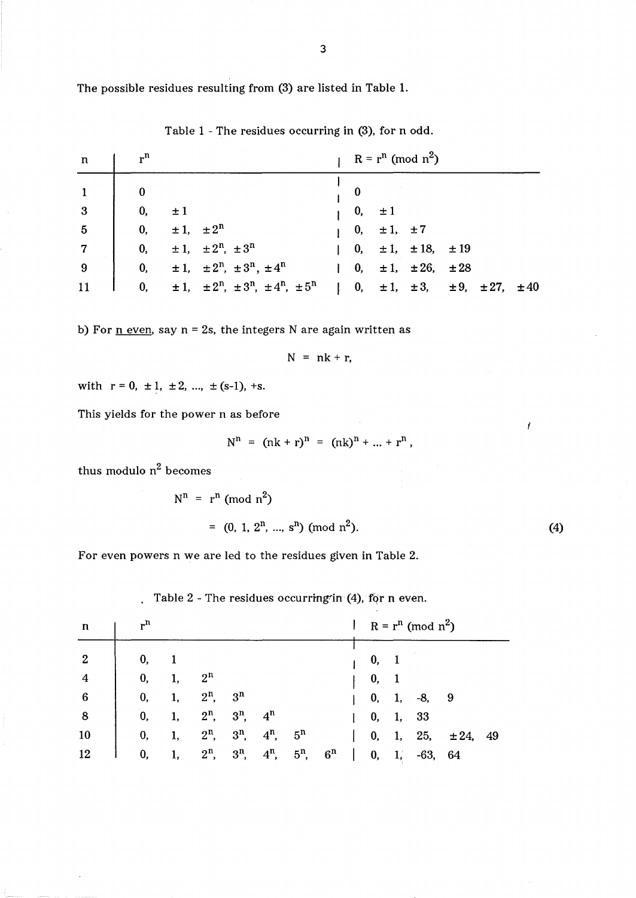The possible residues resulting from (3) are listed in Table 1.

Table 1 - The residues occurring in (3), for n odd.

| n               | $r^n$         |                                                                 |              |                               | $R = r^n \pmod{n^2}$                                 |  |  |
|-----------------|---------------|-----------------------------------------------------------------|--------------|-------------------------------|------------------------------------------------------|--|--|
|                 | $\bf{0}$      |                                                                 |              |                               |                                                      |  |  |
| $\overline{3}$  | $\mathbf{0},$ | $\pm 1$                                                         |              | $0, \pm 1$                    |                                                      |  |  |
| $5\overline{5}$ | $\mathbf{0},$ | $\pm 1$ , $\pm 2^n$                                             |              | $\vert 0, \pm 1, \pm 7 \vert$ |                                                      |  |  |
| $\overline{7}$  | 0,            | $\pm 1$ , $\pm 2^{n}$ , $\pm 3^{n}$                             |              |                               | $\vert$ 0, $\pm 1$ , $\pm 18$ , $\pm 19$             |  |  |
| -9              | $\mathbf{0}$  | $\pm 1$ , $\pm 2^{n}$ , $\pm 3^{n}$ , $\pm 4^{n}$               | $\mathbf{I}$ |                               | 0, $\pm 1$ , $\pm 26$ , $\pm 28$                     |  |  |
|                 | 0,            | $\pm 1$ , $\pm 2^{n}$ , $\pm 3^{n}$ , $\pm 4^{n}$ , $\pm 5^{n}$ |              |                               | 0, $\pm 1$ , $\pm 3$ , $\pm 9$ , $\pm 27$ , $\pm 40$ |  |  |

b) For  $n$  even, say  $n = 2s$ , the integers N are again written as

$$
N = nk + r,
$$

with 
$$
r = 0, \pm 1, \pm 2, ..., \pm (s-1), +s.
$$

This yields for the power n as before

$$
N^{n} = (nk + r)^{n} = (nk)^{n} + ... + r^{n},
$$

thus modulo  $n^2$  becomes

$$
N^{n} = r^{n} \text{ (mod } n^{2}\text{)}
$$
  
= (0, 1, 2<sup>n</sup>, ..., s<sup>n</sup>) (mod n<sup>2</sup>). (4)

 $\boldsymbol{I}$ 

For even powers n we are led to the residues given in Table 2.

Table  $2$  - The residues occurring in (4), for n even.

| $\mathbf n$      | $r^n$ |    |                |                |                 |                 |                |  |    | $\mathcal{H}_{\mathbf{A}}$ .<br>$R = r^n \pmod{n^2}$ |           |                         |  |  |  |  |  |  |
|------------------|-------|----|----------------|----------------|-----------------|-----------------|----------------|--|----|------------------------------------------------------|-----------|-------------------------|--|--|--|--|--|--|
| $\boldsymbol{2}$ | 0,    |    |                |                |                 |                 |                |  | 0, |                                                      |           |                         |  |  |  |  |  |  |
| 4                | 0,    | 1, | 2 <sup>n</sup> |                |                 |                 |                |  | 0, |                                                      |           |                         |  |  |  |  |  |  |
| 6                | 0,    | 1, | $2^n$ ,        | 3 <sup>n</sup> |                 |                 |                |  | 0, | 1,                                                   | $-8,$     | $\overline{\mathbf{9}}$ |  |  |  |  |  |  |
| 8                | 0,    |    | $2^n$ ,        | $3^n$ , $4^n$  |                 |                 |                |  | 0, | 1,                                                   | - 33      |                         |  |  |  |  |  |  |
| <b>10</b>        | 0,    | 1, | $2^n$ ,        |                | $3^n$ , $4^n$ , | $-5^n$          |                |  | 0, | 1,                                                   | 25,       | ± 24, 49                |  |  |  |  |  |  |
| 12               | 0,    | 1, | $2^n$ ,        | $3^n$ ,        |                 | $4^n$ , $5^n$ , | 6 <sup>n</sup> |  | 0, | 1.                                                   | $-63, 64$ |                         |  |  |  |  |  |  |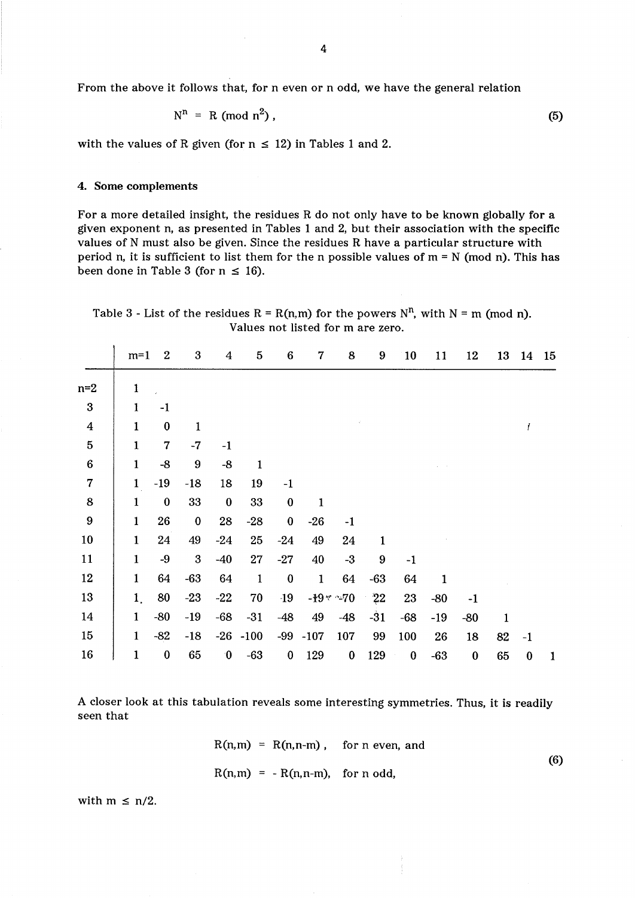From the above it follows that, for n even or n odd, we have the general relation

$$
N^{n} = R \pmod{n^{2}},
$$
 (5)

with the values of R given (for  $n \leq 12$ ) in Tables 1 and 2.

### 4. Some complements

For a more detailed insight, the residues R do not only have to be known globally for a given exponent n, as presented in Tables 1 and 2, but their association with the specific values of N must also be given. Since the residues R have a particular structure with period n, it is sufficient to list them for the n possible values of  $m = N$  (mod n). This has been done in Table 3 (for  $n \leq 16$ ).

Table 3 - List of the residues R = R(n,m) for the powers  $N^n$ , with N = m (mod n). Values not listed for m are zero.

|                  | $m=1$        | $\boldsymbol{2}$ | $\boldsymbol{3}$ | 4                | $\overline{5}$ | $6\phantom{1}6$  | $\overline{7}$ | 8             | 9                | 10       | 11           | 12               | 13 | 14       | 15 |
|------------------|--------------|------------------|------------------|------------------|----------------|------------------|----------------|---------------|------------------|----------|--------------|------------------|----|----------|----|
| $n=2$            | 1            |                  |                  |                  |                |                  |                |               |                  |          |              |                  |    |          |    |
| $\boldsymbol{3}$ | 1            | $-1$             |                  |                  |                |                  |                |               |                  |          |              |                  |    |          |    |
| $\boldsymbol{4}$ | 1            | $\bf{0}$         | $\mathbf{1}$     |                  |                |                  |                |               |                  |          |              |                  |    |          |    |
| $\overline{5}$   | $\mathbf{1}$ | 7                | $-7$             | $-1$             |                |                  |                |               |                  |          |              |                  |    |          |    |
| $\bf 6$          | 1            | $-8$             | 9                | $-8$             | $\mathbf{1}$   |                  |                |               |                  |          |              |                  |    |          |    |
| $\overline{7}$   | $\mathbf{1}$ | $-19$            | $-18$            | 18               | 19             | $-1$             |                |               |                  |          |              |                  |    |          |    |
| 8                | $\mathbf{1}$ | $\bf{0}$         | 33               | $\bf{0}$         | 33             | $\bf{0}$         | 1              |               |                  |          |              |                  |    |          |    |
| $\boldsymbol{9}$ | 1            | 26               | $\bf{0}$         | 28               | $-28$          | $\bf{0}$         | $-26$          | $-1$          |                  |          |              |                  |    |          |    |
| 10               | $\mathbf{1}$ | 24               | 49               | $-24$            | 25             | $-24$            | 49             | 24            | $\mathbf{1}$     |          |              |                  |    |          |    |
| 11               | 1            | $-9$             | $\boldsymbol{3}$ | $-40$            | 27             | $-27$            | 40             | $-3$          | $\boldsymbol{9}$ | $-1$     |              |                  |    |          |    |
| 12               | $\mathbf{1}$ | 64               | $-63$            | 64               | $\mathbf{1}$   | $\boldsymbol{0}$ | $\mathbf{1}$   | 64            | $-63$            | 64       | $\mathbf{1}$ |                  |    |          |    |
| 13               | $\mathbf{1}$ | 80               | $-23$            | $-22$            | 70             | $-19$            |                | $-19$ * $-70$ | 22               | 23       | $-80$        | $-1$             |    |          |    |
| 14               | 1            | $-80$            | $-19$            | $-68$            | $-31$          | $-48$            | 49             | $-48$         | $-31$            | $-68$    | $-19$        | $-80$            | 1  |          |    |
| 15               | 1            | $-82$            | $-18$            |                  | $-26 - 100$    | $-99$            | $-107$         | 107           | 99               | 100      | 26           | 18               | 82 | $-1$     |    |
| 16               | 1            | $\bf{0}$         | 65               | $\boldsymbol{0}$ | $-63$          | $\boldsymbol{0}$ | 129            | $\bf{0}$      | 129              | $\bf{0}$ | $-63$        | $\boldsymbol{0}$ | 65 | $\bf{0}$ | 1  |

A closer look at this tabulation reveals some interesting symmetries. Thus, it is readily seen that

$$
R(n,m) = R(n,n-m), \quad \text{for } n \text{ even, and}
$$
  
 
$$
R(n,m) = -R(n,n-m), \quad \text{for } n \text{ odd,}
$$
 (6)

with  $m \le n/2$ .